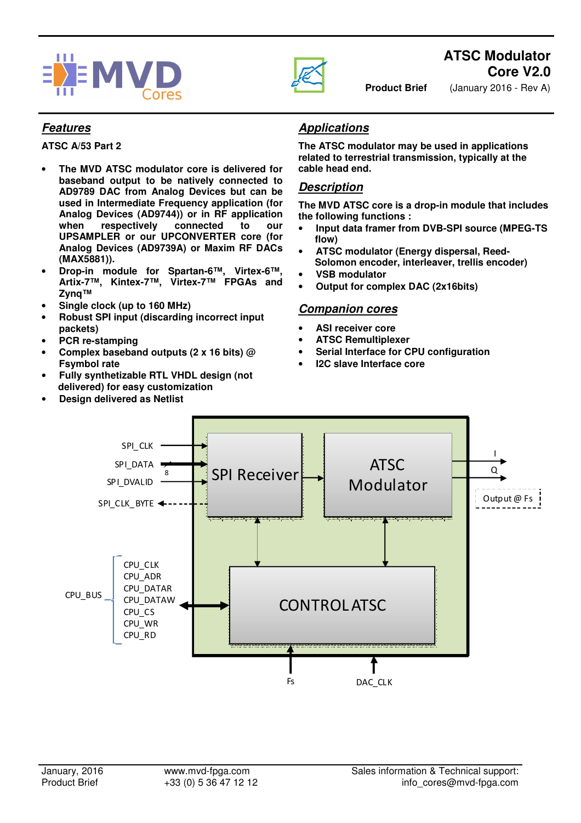



# **ATSC Modulator Core V2.0**

**Product Brief** (January 2016 - Rev A)

#### **Features**

**ATSC A/53 Part 2** 

- **The MVD ATSC modulator core is delivered for baseband output to be natively connected to AD9789 DAC from Analog Devices but can be used in Intermediate Frequency application (for Analog Devices (AD9744)) or in RF application when respectively connected to our UPSAMPLER or our UPCONVERTER core (for Analog Devices (AD9739A) or Maxim RF DACs (MAX5881)).**
- **Drop-in module for Spartan-6™, Virtex-6™, Artix-7™, Kintex-7™, Virtex-7™ FPGAs and Zynq™**
- **Single clock (up to 160 MHz)**
- **Robust SPI input (discarding incorrect input packets)**
- **PCR re-stamping**
- **Complex baseband outputs (2 x 16 bits) @ Fsymbol rate**
- **Fully synthetizable RTL VHDL design (not delivered) for easy customization**
- **Design delivered as Netlist**

## **Applications**

**The ATSC modulator may be used in applications related to terrestrial transmission, typically at the cable head end.**

### **Description**

**The MVD ATSC core is a drop-in module that includes the following functions :** 

- **Input data framer from DVB-SPI source (MPEG-TS flow)**
- **ATSC modulator (Energy dispersal, Reed-Solomon encoder, interleaver, trellis encoder)**
- **VSB modulator**
- **Output for complex DAC (2x16bits)**

#### **Companion cores**

- **ASI receiver core**
- **ATSC Remultiplexer**
- **Serial Interface for CPU configuration**
- **I2C slave Interface core**